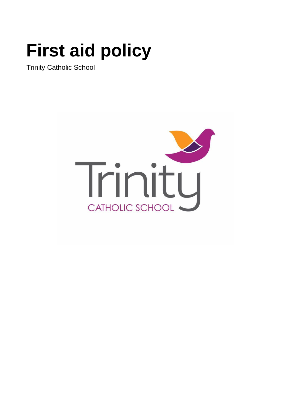# **First aid policy**

Trinity Catholic School

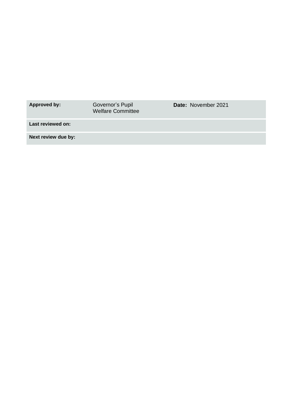| Approved by:        | Governor's Pupil<br><b>Welfare Committee</b> | <b>Date: November 2021</b> |
|---------------------|----------------------------------------------|----------------------------|
| Last reviewed on:   |                                              |                            |
| Next review due by: |                                              |                            |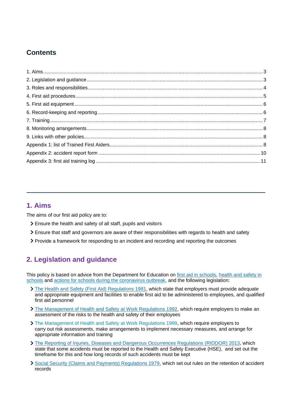# **Contents**

## <span id="page-2-0"></span>**1. Aims**

The aims of our first aid policy are to:

- Ensure the health and safety of all staff, pupils and visitors
- Ensure that staff and governors are aware of their responsibilities with regards to health and safety
- Provide a framework for responding to an incident and recording and reporting the outcomes

# <span id="page-2-1"></span>**2. Legislation and guidance**

This policy is based on advice from the Department for Education on [first aid in schools,](https://www.gov.uk/government/publications/first-aid-in-schools) health and safety in [schools](https://www.gov.uk/government/publications/health-and-safety-advice-for-schools) and [actions for schools during the coronavirus outbreak,](https://www.gov.uk/government/publications/actions-for-schools-during-the-coronavirus-outbreak) and the following legislation:

- [The Health and Safety \(First](http://www.legislation.gov.uk/uksi/1981/917/regulation/3/made) Aid) Regulations 1981, which state that employers must provide adequate and appropriate equipment and facilities to enable first aid to be administered to employees, and qualified first aid personnel
- [The Management of Health and Safety at Work Regulations 1992,](http://www.legislation.gov.uk/uksi/1992/2051/regulation/3/made) which require employers to make an assessment of the risks to the health and safety of their employees
- [The Management of Health and Safety at Work Regulations 1999,](http://www.legislation.gov.uk/uksi/1999/3242/contents/made) which require employers to carry out risk assessments, make arrangements to implement necessary measures, and arrange for appropriate information and training
- > [The Reporting of Injuries, Diseases and Dangerous Occurrences Regulations](http://www.legislation.gov.uk/uksi/2013/1471/schedule/1/paragraph/1/made) (RIDDOR) 2013, which state that some accidents must be reported to the Health and Safety Executive (HSE), and set out the timeframe for this and how long records of such accidents must be kept
- [Social Security \(Claims and Payments\) Regulations 1979,](http://www.legislation.gov.uk/uksi/1979/628) which set out rules on the retention of accident records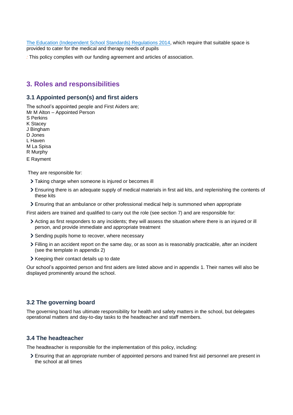[The Education \(Independent School Standards\) Regulations 2014,](http://www.legislation.gov.uk/uksi/2014/3283/schedule/made) which require that suitable space is provided to cater for the medical and therapy needs of pupils

*:* This policy complies with our funding agreement and articles of association.

## <span id="page-3-0"></span>**3. Roles and responsibilities**

## **3.1 Appointed person(s) and first aiders**

The school's appointed people and First Aiders are;

Mr M Alton – Appointed Person S Perkins K Stacey J Bingham D Jones L Haven M La Spisa R Murphy E Rayment

They are responsible for:

- > Taking charge when someone is injured or becomes ill
- Ensuring there is an adequate supply of medical materials in first aid kits, and replenishing the contents of these kits
- Ensuring that an ambulance or other professional medical help is summoned when appropriate

First aiders are trained and qualified to carry out the role (see section 7) and are responsible for:

- Acting as first responders to any incidents; they will assess the situation where there is an injured or ill person, and provide immediate and appropriate treatment
- Sending pupils home to recover, where necessary
- Filling in an accident report on the same day, or as soon as is reasonably practicable, after an incident (see the template in appendix 2)
- > Keeping their contact details up to date

Our school's appointed person and first aiders are listed above and in appendix 1. Their names will also be displayed prominently around the school.

#### **3.2 The governing board**

The governing board has ultimate responsibility for health and safety matters in the school, but delegates operational matters and day-to-day tasks to the headteacher and staff members.

#### **3.4 The headteacher**

The headteacher is responsible for the implementation of this policy, including:

Ensuring that an appropriate number of appointed persons and trained first aid personnel are present in the school at all times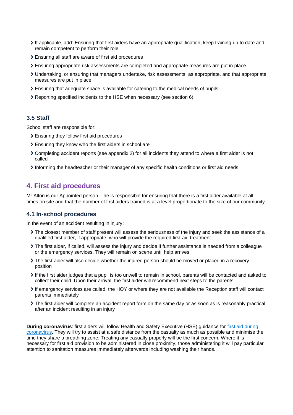- If applicable, add: Ensuring that first aiders have an appropriate qualification, keep training up to date and remain competent to perform their role
- Ensuring all staff are aware of first aid procedures
- Ensuring appropriate risk assessments are completed and appropriate measures are put in place
- Undertaking, or ensuring that managers undertake, risk assessments, as appropriate, and that appropriate measures are put in place
- Ensuring that adequate space is available for catering to the medical needs of pupils
- Reporting specified incidents to the HSE when necessary (see section 6)

#### **3.5 Staff**

School staff are responsible for:

- Ensuring they follow first aid procedures
- Ensuring they know who the first aiders in school are
- Completing accident reports (see appendix 2) for all incidents they attend to where a first aider is not called
- Informing the headteacher or their manager of any specific health conditions or first aid needs

## <span id="page-4-0"></span>**4. First aid procedures**

Mr Alton is our Appointed person – he is responsible for ensuring that there is a first aider available at all times on site and that the number of first aiders trained is at a level proportionate to the size of our community

#### **4.1 In-school procedures**

In the event of an accident resulting in injury:

- The closest member of staff present will assess the seriousness of the injury and seek the assistance of a qualified first aider, if appropriate, who will provide the required first aid treatment
- The first aider, if called, will assess the injury and decide if further assistance is needed from a colleague or the emergency services. They will remain on scene until help arrives
- The first aider will also decide whether the injured person should be moved or placed in a recovery position
- If the first aider judges that a pupil is too unwell to remain in school, parents will be contacted and asked to collect their child. Upon their arrival, the first aider will recommend next steps to the parents
- If emergency services are called, the HOY or where they are not available the Reception staff will contact parents immediately
- The first aider will complete an accident report form on the same day or as soon as is reasonably practical after an incident resulting in an injury

**During coronavirus**: first aiders will follow Health and Safety Executive (HSE) guidance for [first aid during](https://www.hse.gov.uk/coronavirus/first-aid-and-medicals/first-aid-certificate-coronavirus.htm) [coronavirus.](https://www.hse.gov.uk/coronavirus/first-aid-and-medicals/first-aid-certificate-coronavirus.htm) They will try to assist at a safe distance from the casualty as much as possible and minimise the time they share a breathing zone. Treating any casualty properly will be the first concern. Where it is necessary for first aid provision to be administered in close proximity, those administering it will pay particular attention to sanitation measures immediately afterwards including washing their hands.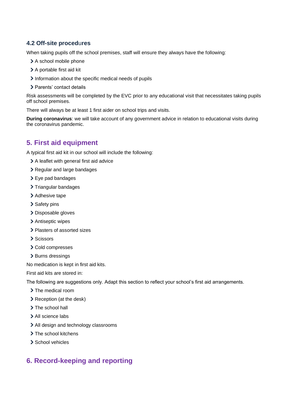## **4.2 Off-site proced**u**res**

When taking pupils off the school premises, staff will ensure they always have the following:

- > A school mobile phone
- > A portable first aid kit
- Information about the specific medical needs of pupils
- > Parents' contact details

Risk assessments will be completed by the EVC prior to any educational visit that necessitates taking pupils off school premises.

There will always be at least 1 first aider on school trips and visits.

**During coronavirus**: we will take account of any government advice in relation to educational visits during the coronavirus pandemic.

## <span id="page-5-0"></span>**5. First aid equipment**

A typical first aid kit in our school will include the following:

- A leaflet with general first aid advice
- > Regular and large bandages
- > Eye pad bandages
- > Triangular bandages
- > Adhesive tape
- > Safety pins
- > Disposable gloves
- > Antiseptic wipes
- Plasters of assorted sizes
- > Scissors
- > Cold compresses
- > Burns dressings

No medication is kept in first aid kits.

First aid kits are stored in:

The following are suggestions only. Adapt this section to reflect your school's first aid arrangements.

- > The medical room
- > Reception (at the desk)
- > The school hall
- > All science labs
- > All design and technology classrooms
- > The school kitchens
- > School vehicles

# <span id="page-5-1"></span>**6. Record-keeping and reporting**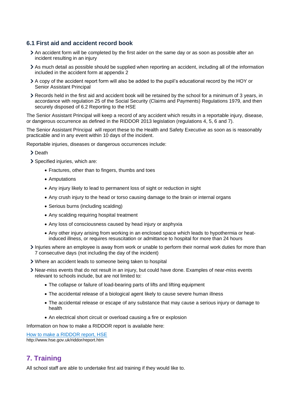#### **6.1 First aid and accident record book**

- An accident form will be completed by the first aider on the same day or as soon as possible after an incident resulting in an injury
- As much detail as possible should be supplied when reporting an accident, including all of the information included in the accident form at appendix 2
- A copy of the accident report form will also be added to the pupil's educational record by the HOY or Senior Assistant Principal
- Records held in the first aid and accident book will be retained by the school for a minimum of 3 years, in accordance with regulation 25 of the Social Security (Claims and Payments) Regulations 1979, and then securely disposed of 6.2 Reporting to the HSE

The Senior Assistant Principal will keep a record of any accident which results in a reportable injury, disease, or dangerous occurrence as defined in the RIDDOR 2013 legislation (regulations 4, 5, 6 and 7).

The Senior Assistant Principal will report these to the Health and Safety Executive as soon as is reasonably practicable and in any event within 10 days of the incident.

Reportable injuries, diseases or dangerous occurrences include:

> Death

- > Specified injuries, which are:
	- Fractures, other than to fingers, thumbs and toes
	- Amputations
	- Any injury likely to lead to permanent loss of sight or reduction in sight
	- Any crush injury to the head or torso causing damage to the brain or internal organs
	- Serious burns (including scalding)
	- Any scalding requiring hospital treatment
	- Any loss of consciousness caused by head injury or asphyxia
	- Any other injury arising from working in an enclosed space which leads to hypothermia or heatinduced illness, or requires resuscitation or admittance to hospital for more than 24 hours
- Injuries where an employee is away from work or unable to perform their normal work duties for more than 7 consecutive days (not including the day of the incident)
- Where an accident leads to someone being taken to hospital
- Near-miss events that do not result in an injury, but could have done. Examples of near-miss events relevant to schools include, but are not limited to:
	- The collapse or failure of load-bearing parts of lifts and lifting equipment
	- The accidental release of a biological agent likely to cause severe human illness
	- The accidental release or escape of any substance that may cause a serious injury or damage to health
	- An electrical short circuit or overload causing a fire or explosion

Information on how to make a RIDDOR report is available here:

[How to make a RIDDOR report, HSE](http://www.hse.gov.uk/riddor/report.htm) http://www.hse.gov.uk/riddor/report.htm

## <span id="page-6-0"></span>**7. Training**

All school staff are able to undertake first aid training if they would like to.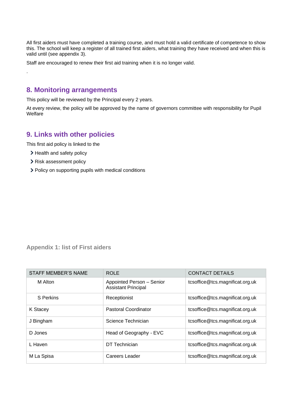All first aiders must have completed a training course, and must hold a valid certificate of competence to show this. The school will keep a register of all trained first aiders, what training they have received and when this is valid until (see appendix 3).

Staff are encouraged to renew their first aid training when it is no longer valid.

## <span id="page-7-0"></span>**8. Monitoring arrangements**

This policy will be reviewed by the Principal every 2 years.

At every review, the policy will be approved by the name of governors committee with responsibility for Pupil **Welfare** 

## <span id="page-7-1"></span>**9. Links with other policies**

This first aid policy is linked to the

> Health and safety policy

.

- > Risk assessment policy
- Policy on supporting pupils with medical conditions

## <span id="page-7-2"></span>**Appendix 1: list of First aiders**

| STAFF MEMBER'S NAME | <b>ROLE</b>                                             | <b>CONTACT DETAILS</b>          |
|---------------------|---------------------------------------------------------|---------------------------------|
| M Alton             | Appointed Person - Senior<br><b>Assistant Principal</b> | tcsoffice@tcs.magnificat.org.uk |
| S Perkins           | Receptionist                                            | tcsoffice@tcs.magnificat.org.uk |
| K Stacey            | <b>Pastoral Coordinator</b>                             | tcsoffice@tcs.magnificat.org.uk |
| J Bingham           | Science Technician                                      | tcsoffice@tcs.magnificat.org.uk |
| D Jones             | Head of Geography - EVC                                 | tcsoffice@tcs.magnificat.org.uk |
| L Haven             | DT Technician                                           | tcsoffice@tcs.magnificat.org.uk |
| M La Spisa          | Careers Leader                                          | tcsoffice@tcs.magnificat.org.uk |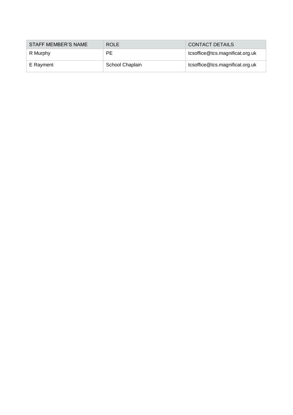| STAFF MEMBER'S NAME | <b>ROLE</b>     | <b>CONTACT DETAILS</b>          |
|---------------------|-----------------|---------------------------------|
| R Murphy            | РE              | tcsoffice@tcs.magnificat.org.uk |
| E Rayment           | School Chaplain | tcsoffice@tcs.magnificat.org.uk |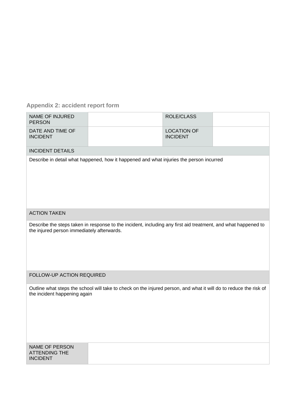# <span id="page-9-0"></span>**Appendix 2: accident report form**

| <b>NAME OF INJURED</b><br><b>PERSON</b>                                                                                                                     |  | <b>ROLE/CLASS</b>                     |  |  |
|-------------------------------------------------------------------------------------------------------------------------------------------------------------|--|---------------------------------------|--|--|
| DATE AND TIME OF<br><b>INCIDENT</b>                                                                                                                         |  | <b>LOCATION OF</b><br><b>INCIDENT</b> |  |  |
| <b>INCIDENT DETAILS</b>                                                                                                                                     |  |                                       |  |  |
| Describe in detail what happened, how it happened and what injuries the person incurred                                                                     |  |                                       |  |  |
| <b>ACTION TAKEN</b>                                                                                                                                         |  |                                       |  |  |
| Describe the steps taken in response to the incident, including any first aid treatment, and what happened to<br>the injured person immediately afterwards. |  |                                       |  |  |
| FOLLOW-UP ACTION REQUIRED                                                                                                                                   |  |                                       |  |  |
| Outline what steps the school will take to check on the injured person, and what it will do to reduce the risk of<br>the incident happening again           |  |                                       |  |  |
| NAME OF PERSON<br><b>ATTENDING THE</b><br><b>INCIDENT</b>                                                                                                   |  |                                       |  |  |